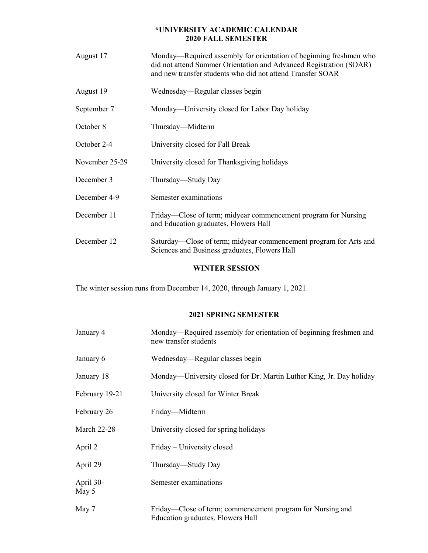## **\*UNIVERSITY ACADEMIC CALENDAR 2020 FALL SEMESTER**

| August 17      | Monday—Required assembly for orientation of beginning freshmen who<br>did not attend Summer Orientation and Advanced Registration (SOAR)<br>and new transfer students who did not attend Transfer SOAR |
|----------------|--------------------------------------------------------------------------------------------------------------------------------------------------------------------------------------------------------|
| August 19      | Wednesday—Regular classes begin                                                                                                                                                                        |
| September 7    | Monday—University closed for Labor Day holiday                                                                                                                                                         |
| October 8      | Thursday—Midterm                                                                                                                                                                                       |
| October 2-4    | University closed for Fall Break                                                                                                                                                                       |
| November 25-29 | University closed for Thanksgiving holidays                                                                                                                                                            |
| December 3     | Thursday—Study Day                                                                                                                                                                                     |
| December 4-9   | Semester examinations                                                                                                                                                                                  |
| December 11    | Friday—Close of term; midyear commencement program for Nursing<br>and Education graduates, Flowers Hall                                                                                                |
| December 12    | Saturday—Close of term; midyear commencement program for Arts and<br>Sciences and Business graduates, Flowers Hall                                                                                     |
|                |                                                                                                                                                                                                        |

# **WINTER SESSION**

The winter session runs from December 14, 2020, through January 1, 2021.

## **2021 SPRING SEMESTER**

| January 4          | Monday—Required assembly for orientation of beginning freshmen and<br>new transfer students     |
|--------------------|-------------------------------------------------------------------------------------------------|
| January 6          | Wednesday—Regular classes begin                                                                 |
| January 18         | Monday—University closed for Dr. Martin Luther King, Jr. Day holiday                            |
| February 19-21     | University closed for Winter Break                                                              |
| February 26        | Friday—Midterm                                                                                  |
| <b>March 22-28</b> | University closed for spring holidays                                                           |
| April 2            | Friday – University closed                                                                      |
| April 29           | Thursday—Study Day                                                                              |
| April 30-<br>May 5 | Semester examinations                                                                           |
| May 7              | Friday—Close of term; commencement program for Nursing and<br>Education graduates, Flowers Hall |